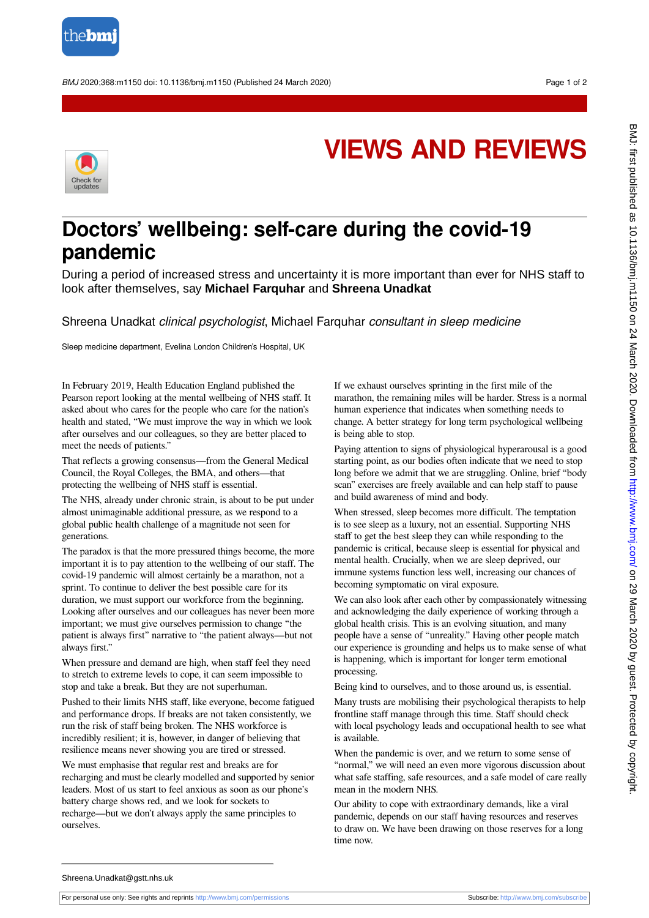

BMJ 2020;368:m1150 doi: 10.1136/bmj.m1150 (Published 24 March 2020) Page 1 of 2



## **VIEWS AND REVIEWS**

## **Doctors' wellbeing: self-care during the covid-19 pandemic**

During a period of increased stress and uncertainty it is more important than ever for NHS staff to look after themselves, say **Michael Farquhar** and **Shreena Unadkat**

Shreena Unadkat clinical psychologist, Michael Farquhar consultant in sleep medicine

Sleep medicine department, Evelina London Children's Hospital, UK

In February 2019, Health Education England published the Pearson report looking at the mental wellbeing of NHS staff. It asked about who cares for the people who care for the nation's health and stated, "We must improve the way in which we look after ourselves and our colleagues, so they are better placed to meet the needs of patients."

That reflects a growing consensus—from the General Medical Council, the Royal Colleges, the BMA, and others—that protecting the wellbeing of NHS staff is essential.

The NHS, already under chronic strain, is about to be put under almost unimaginable additional pressure, as we respond to a global public health challenge of a magnitude not seen for generations.

The paradox is that the more pressured things become, the more important it is to pay attention to the wellbeing of our staff. The covid-19 pandemic will almost certainly be a marathon, not a sprint. To continue to deliver the best possible care for its duration, we must support our workforce from the beginning. Looking after ourselves and our colleagues has never been more important; we must give ourselves permission to change "the patient is always first" narrative to "the patient always—but not always first."

When pressure and demand are high, when staff feel they need to stretch to extreme levels to cope, it can seem impossible to stop and take a break. But they are not superhuman.

Pushed to their limits NHS staff, like everyone, become fatigued and performance drops. If breaks are not taken consistently, we run the risk of staff being broken. The NHS workforce is incredibly resilient; it is, however, in danger of believing that resilience means never showing you are tired or stressed.

We must emphasise that regular rest and breaks are for recharging and must be clearly modelled and supported by senior leaders. Most of us start to feel anxious as soon as our phone's battery charge shows red, and we look for sockets to recharge—but we don't always apply the same principles to ourselves.

If we exhaust ourselves sprinting in the first mile of the marathon, the remaining miles will be harder. Stress is a normal human experience that indicates when something needs to change. A better strategy for long term psychological wellbeing is being able to stop.

Paying attention to signs of physiological hyperarousal is a good starting point, as our bodies often indicate that we need to stop long before we admit that we are struggling. Online, brief "body scan" exercises are freely available and can help staff to pause and build awareness of mind and body.

When stressed, sleep becomes more difficult. The temptation is to see sleep as a luxury, not an essential. Supporting NHS staff to get the best sleep they can while responding to the pandemic is critical, because sleep is essential for physical and mental health. Crucially, when we are sleep deprived, our immune systems function less well, increasing our chances of becoming symptomatic on viral exposure.

We can also look after each other by compassionately witnessing and acknowledging the daily experience of working through a global health crisis. This is an evolving situation, and many people have a sense of "unreality." Having other people match our experience is grounding and helps us to make sense of what is happening, which is important for longer term emotional processing.

Being kind to ourselves, and to those around us, is essential.

Many trusts are mobilising their psychological therapists to help frontline staff manage through this time. Staff should check with local psychology leads and occupational health to see what is available.

When the pandemic is over, and we return to some sense of "normal," we will need an even more vigorous discussion about what safe staffing, safe resources, and a safe model of care really mean in the modern NHS.

Our ability to cope with extraordinary demands, like a viral pandemic, depends on our staff having resources and reserves to draw on. We have been drawing on those reserves for a long time now.